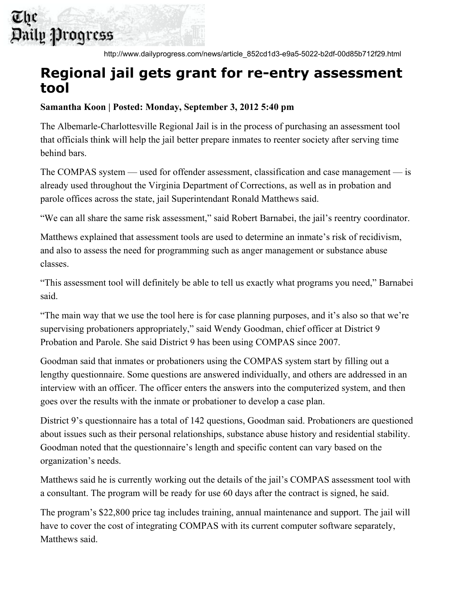## The Daily Progress

http://www.dailyprogress.com/news/article\_852cd1d3-e9a5-5022-b2df-00d85b712f29.html

## **Regional jail gets grant for re-entry assessment tool**

## **Samantha Koon | Posted: Monday, September 3, 2012 5:40 pm**

The Albemarle-Charlottesville Regional Jail is in the process of purchasing an assessment tool that officials think will help the jail better prepare inmates to reenter society after serving time behind bars.

The COMPAS system — used for offender assessment, classification and case management — is already used throughout the Virginia Department of Corrections, as well as in probation and parole offices across the state, jail Superintendant Ronald Matthews said.

"We can all share the same risk assessment," said Robert Barnabei, the jail's reentry coordinator.

Matthews explained that assessment tools are used to determine an inmate's risk of recidivism, and also to assess the need for programming such as anger management or substance abuse classes.

"This assessment tool will definitely be able to tell us exactly what programs you need," Barnabei said.

"The main way that we use the tool here is for case planning purposes, and it's also so that we're supervising probationers appropriately," said Wendy Goodman, chief officer at District 9 Probation and Parole. She said District 9 has been using COMPAS since 2007.

Goodman said that inmates or probationers using the COMPAS system start by filling out a lengthy questionnaire. Some questions are answered individually, and others are addressed in an interview with an officer. The officer enters the answers into the computerized system, and then goes over the results with the inmate or probationer to develop a case plan.

District 9's questionnaire has a total of 142 questions, Goodman said. Probationers are questioned about issues such as their personal relationships, substance abuse history and residential stability. Goodman noted that the questionnaire's length and specific content can vary based on the organization's needs.

Matthews said he is currently working out the details of the jail's COMPAS assessment tool with a consultant. The program will be ready for use 60 days after the contract is signed, he said.

The program's \$22,800 price tag includes training, annual maintenance and support. The jail will have to cover the cost of integrating COMPAS with its current computer software separately, Matthews said.